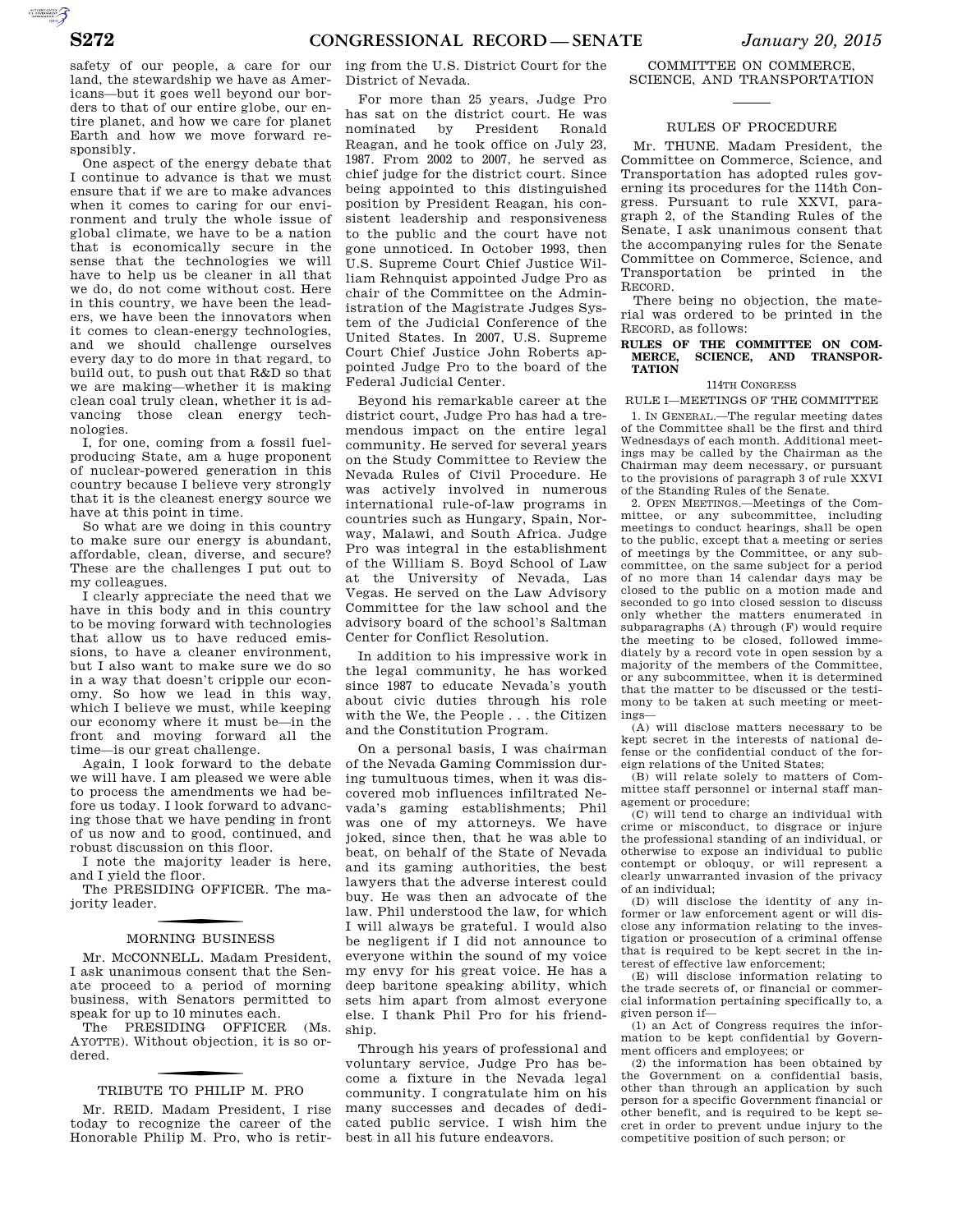AUTOROTOMICALE CONTINUES

safety of our people, a care for our land, the stewardship we have as Americans—but it goes well beyond our borders to that of our entire globe, our entire planet, and how we care for planet Earth and how we move forward responsibly.

One aspect of the energy debate that I continue to advance is that we must ensure that if we are to make advances when it comes to caring for our environment and truly the whole issue of global climate, we have to be a nation that is economically secure in the sense that the technologies we will have to help us be cleaner in all that we do, do not come without cost. Here in this country, we have been the leaders, we have been the innovators when it comes to clean-energy technologies, and we should challenge ourselves every day to do more in that regard, to build out, to push out that R&D so that we are making—whether it is making clean coal truly clean, whether it is advancing those clean energy technologies.

I, for one, coming from a fossil fuelproducing State, am a huge proponent of nuclear-powered generation in this country because I believe very strongly that it is the cleanest energy source we have at this point in time.

So what are we doing in this country to make sure our energy is abundant, affordable, clean, diverse, and secure? These are the challenges I put out to my colleagues.

I clearly appreciate the need that we have in this body and in this country to be moving forward with technologies that allow us to have reduced emissions, to have a cleaner environment, but I also want to make sure we do so in a way that doesn't cripple our economy. So how we lead in this way, which I believe we must, while keeping our economy where it must be—in the front and moving forward all the time—is our great challenge.

Again, I look forward to the debate we will have. I am pleased we were able to process the amendments we had before us today. I look forward to advancing those that we have pending in front of us now and to good, continued, and robust discussion on this floor.

I note the majority leader is here, and I yield the floor.

The PRESIDING OFFICER. The majority leader.

# f MORNING BUSINESS

Mr. MCCONNELL. Madam President, I ask unanimous consent that the Senate proceed to a period of morning business, with Senators permitted to speak for up to 10 minutes each.

The PRESIDING OFFICER (Ms. AYOTTE). Without objection, it is so ordered.

# f TRIBUTE TO PHILIP M. PRO

Mr. REID. Madam President, I rise today to recognize the career of the Honorable Philip M. Pro, who is retir-

ing from the U.S. District Court for the District of Nevada.

For more than 25 years, Judge Pro has sat on the district court. He was nominated by President Ronald Reagan, and he took office on July 23, 1987. From 2002 to 2007, he served as chief judge for the district court. Since being appointed to this distinguished position by President Reagan, his consistent leadership and responsiveness to the public and the court have not gone unnoticed. In October 1993, then U.S. Supreme Court Chief Justice William Rehnquist appointed Judge Pro as chair of the Committee on the Administration of the Magistrate Judges System of the Judicial Conference of the United States. In 2007, U.S. Supreme Court Chief Justice John Roberts appointed Judge Pro to the board of the Federal Judicial Center.

Beyond his remarkable career at the district court, Judge Pro has had a tremendous impact on the entire legal community. He served for several years on the Study Committee to Review the Nevada Rules of Civil Procedure. He was actively involved in numerous international rule-of-law programs in countries such as Hungary, Spain, Norway, Malawi, and South Africa. Judge Pro was integral in the establishment of the William S. Boyd School of Law at the University of Nevada, Las Vegas. He served on the Law Advisory Committee for the law school and the advisory board of the school's Saltman Center for Conflict Resolution.

In addition to his impressive work in the legal community, he has worked since 1987 to educate Nevada's youth about civic duties through his role with the We, the People . . . the Citizen and the Constitution Program.

On a personal basis, I was chairman of the Nevada Gaming Commission during tumultuous times, when it was discovered mob influences infiltrated Nevada's gaming establishments; Phil was one of my attorneys. We have joked, since then, that he was able to beat, on behalf of the State of Nevada and its gaming authorities, the best lawyers that the adverse interest could buy. He was then an advocate of the law. Phil understood the law, for which I will always be grateful. I would also be negligent if I did not announce to everyone within the sound of my voice my envy for his great voice. He has a deep baritone speaking ability, which sets him apart from almost everyone else. I thank Phil Pro for his friendship.

Through his years of professional and voluntary service, Judge Pro has become a fixture in the Nevada legal community. I congratulate him on his many successes and decades of dedicated public service. I wish him the best in all his future endeavors.

COMMITTEE ON COMMERCE, SCIENCE, AND TRANSPORTATION

## RULES OF PROCEDURE

Mr. THUNE. Madam President, the Committee on Commerce, Science, and Transportation has adopted rules governing its procedures for the 114th Congress. Pursuant to rule XXVI, paragraph 2, of the Standing Rules of the Senate, I ask unanimous consent that the accompanying rules for the Senate Committee on Commerce, Science, and Transportation be printed in the RECORD.

There being no objection, the material was ordered to be printed in the RECORD, as follows:

#### RULES OF THE COMMITTEE ON COMMERCE, SCIENCE, AND TRANSPOR-**SCIENCE, AND TRANSPOR-TATION**

## 114TH CONGRESS

RULE I—MEETINGS OF THE COMMITTEE

1. IN GENERAL.—The regular meeting dates of the Committee shall be the first and third Wednesdays of each month. Additional meetings may be called by the Chairman as the Chairman may deem necessary, or pursuant to the provisions of paragraph 3 of rule XXVI of the Standing Rules of the Senate.

2. OPEN MEETINGS.—Meetings of the Committee, or any subcommittee, including meetings to conduct hearings, shall be open to the public, except that a meeting or series of meetings by the Committee, or any subcommittee, on the same subject for a period of no more than 14 calendar days may be closed to the public on a motion made and seconded to go into closed session to discuss only whether the matters enumerated in subparagraphs (A) through (F) would require the meeting to be closed, followed immediately by a record vote in open session by a majority of the members of the Committee, or any subcommittee, when it is determined that the matter to be discussed or the testimony to be taken at such meeting or meetings—

(A) will disclose matters necessary to be kept secret in the interests of national defense or the confidential conduct of the foreign relations of the United States;

(B) will relate solely to matters of Committee staff personnel or internal staff management or procedure;

(C) will tend to charge an individual with crime or misconduct, to disgrace or injure the professional standing of an individual, or otherwise to expose an individual to public contempt or obloquy, or will represent a clearly unwarranted invasion of the privacy of an individual;

(D) will disclose the identity of any informer or law enforcement agent or will disclose any information relating to the investigation or prosecution of a criminal offense that is required to be kept secret in the interest of effective law enforcement;

(E) will disclose information relating to the trade secrets of, or financial or commercial information pertaining specifically to, a given person if—

(1) an Act of Congress requires the information to be kept confidential by Government officers and employees; or

(2) the information has been obtained by the Government on a confidential basis, other than through an application by such person for a specific Government financial or other benefit, and is required to be kept secret in order to prevent undue injury to the competitive position of such person; or